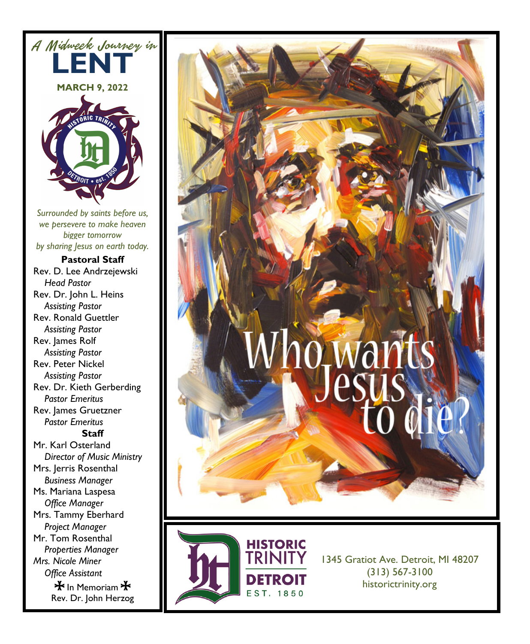





1345 Gratiot Ave. Detroit, MI 48207 (313) 567-3100 historictrinity.org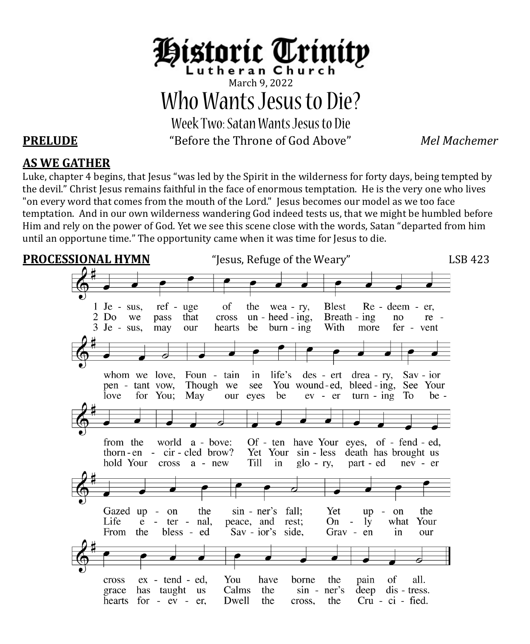

March 9, 2022 Who Wants Jesus to Die? Week Two:Satan Wants Jesus to Die

**PRELUDE** "Before the Throne of God Above" *Mel Machemer*

# **AS WE GATHER**

Luke, chapter 4 begins, that Jesus "was led by the Spirit in the wilderness for forty days, being tempted by the devil." Christ Jesus remains faithful in the face of enormous temptation. He is the very one who lives "on every word that comes from the mouth of the Lord." Jesus becomes our model as we too face temptation. And in our own wilderness wandering God indeed tests us, that we might be humbled before Him and rely on the power of God. Yet we see this scene close with the words, Satan "departed from him until an opportune time." The opportunity came when it was time for Jesus to die.

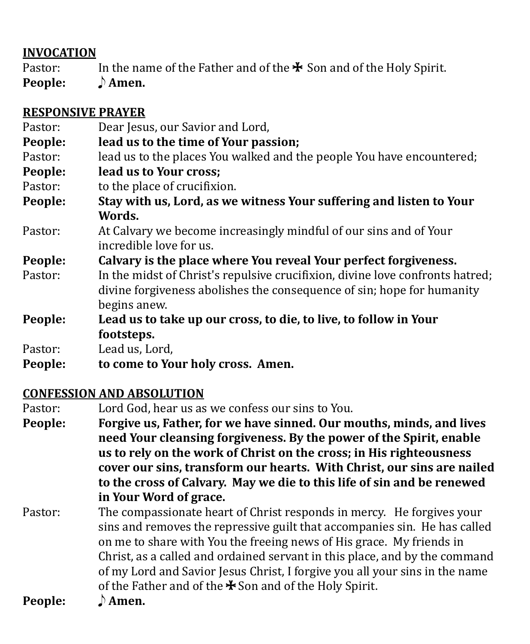# **INVOCATION**

Pastor: In the name of the Father and of the  $\ast$  Son and of the Holy Spirit.<br>**People:**  $\rightarrow$  **Amen.** 

**People:** E **Amen.**

## **RESPONSIVE PRAYER**

| Pastor: | Dear Jesus, our Savior and Lord,                                                                                                                                        |
|---------|-------------------------------------------------------------------------------------------------------------------------------------------------------------------------|
| People: | lead us to the time of Your passion;                                                                                                                                    |
| Pastor: | lead us to the places You walked and the people You have encountered;                                                                                                   |
| People: | lead us to Your cross;                                                                                                                                                  |
| Pastor: | to the place of crucifixion.                                                                                                                                            |
| People: | Stay with us, Lord, as we witness Your suffering and listen to Your                                                                                                     |
|         | Words.                                                                                                                                                                  |
| Pastor: | At Calvary we become increasingly mindful of our sins and of Your                                                                                                       |
|         | incredible love for us.                                                                                                                                                 |
| People: | Calvary is the place where You reveal Your perfect forgiveness.                                                                                                         |
| Pastor: | In the midst of Christ's repulsive crucifixion, divine love confronts hatred;<br>divine forgiveness abolishes the consequence of sin; hope for humanity<br>begins anew. |
| People: | Lead us to take up our cross, to die, to live, to follow in Your                                                                                                        |
|         | footsteps.                                                                                                                                                              |
| Pastor: | Lead us, Lord,                                                                                                                                                          |
| People: | to come to Your holy cross. Amen.                                                                                                                                       |

# **CONFESSION AND ABSOLUTION**

Pastor: Lord God, hear us as we confess our sins to You.<br> **People:** Forgive us, Father, for we have sinned. Our m

**People: Forgive us, Father, for we have sinned. Our mouths, minds, and lives need Your cleansing forgiveness. By the power of the Spirit, enable us to rely on the work of Christ on the cross; in His righteousness cover our sins, transform our hearts. With Christ, our sins are nailed to the cross of Calvary. May we die to this life of sin and be renewed in Your Word of grace.** 

Pastor: The compassionate heart of Christ responds in mercy. He forgives your sins and removes the repressive guilt that accompanies sin. He has called on me to share with You the freeing news of His grace. My friends in Christ, as a called and ordained servant in this place, and by the command of my Lord and Savior Jesus Christ, I forgive you all your sins in the name of the Father and of the  $\bigstar$  Son and of the Holy Spirit.<br> $\bigcirc$  **Amen. People:**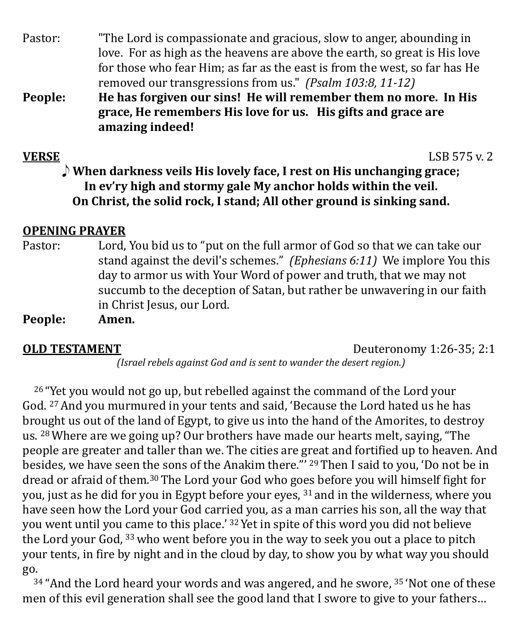| Dannla <sub>:</sub> | He has forgiven our sins! He will remember them no more In His             |
|---------------------|----------------------------------------------------------------------------|
|                     | removed our transgressions from us." (Psalm 103:8, 11-12)                  |
|                     | for those who fear Him; as far as the east is from the west, so far has He |
|                     | love. For as high as the heavens are above the earth, so great is His love |
| Pastor:             | "The Lord is compassionate and gracious, slow to anger, abounding in       |

**People: He has forgiven our sins! He will remember them no more. In His grace, He remembers His love for us. His gifts and grace are amazing indeed!**

**VERSE** LSB 575 v. 2 E **When darkness veils His lovely face, I rest on His unchanging grace; In ev'ry high and stormy gale My anchor holds within the veil. On Christ, the solid rock, I stand; All other ground is sinking sand.**

# **OPENING PRAYER**

Pastor: Lord, You bid us to "put on the full armor of God so that we can take our stand against the devil's schemes." *(Ephesians 6:11)* We implore You this day to armor us with Your Word of power and truth, that we may not succumb to the deception of Satan, but rather be unwavering in our faith in Christ Jesus, our Lord.

**People:** 

**OLD TESTAMENT** Deuteronomy 1:26-35; 2:1 *(Israel rebels against God and is sent to wander the desert region.)*

<sup>26</sup> "Yet you would not go up, but rebelled against the command of the Lord your God. 27And you murmured in your tents and said, 'Because the Lord hated us he has brought us out of the land of Egypt, to give us into the hand of the Amorites, to destroy us. 28Where are we going up? Our brothers have made our hearts melt, saying, "The people are greater and taller than we. The cities are great and fortified up to heaven. And besides, we have seen the sons of the Anakim there."' 29Then I said to you, 'Do not be in dread or afraid of them.30 The Lord your God who goes before you will himself fight for you, just as he did for you in Egypt before your eyes, <sup>31</sup> and in the wilderness, where you have seen how the Lord your God carried you, as a man carries his son, all the way that you went until you came to this place.' 32Yet in spite of this word you did not believe the Lord your God, 33who went before you in the way to seek you out a place to pitch your tents, in fire by night and in the cloud by day, to show you by what way you should go.

<sup>34</sup> "And the Lord heard your words and was angered, and he swore, <sup>35</sup> 'Not one of these men of this evil generation shall see the good land that I swore to give to your fathers…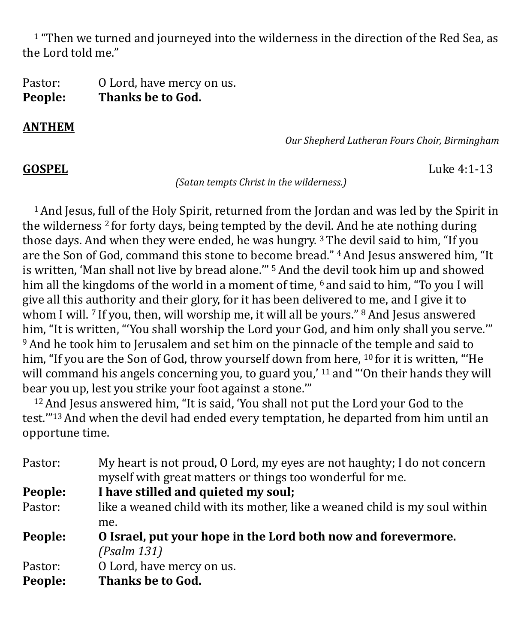<sup>1</sup> "Then we turned and journeyed into the wilderness in the direction of the Red Sea, as the Lord told me."

Pastor: 0 Lord, have mercy on us.<br>**People:** Thanks be to God. **Thanks be to God.** 

### **ANTHEM**

*Our Shepherd Lutheran Fours Choir, Birmingham*

**GOSPEL** Luke 4:1-13

*(Satan tempts Christ in the wilderness.)*

 1 And Jesus, full of the Holy Spirit, returned from the Jordan and was led by the Spirit in the wilderness <sup>2</sup> for forty days, being tempted by the devil. And he ate nothing during those days. And when they were ended, he was hungry.  $3$  The devil said to him, "If you are the Son of God, command this stone to become bread." 4And Jesus answered him, "It is written, 'Man shall not live by bread alone.'" 5And the devil took him up and showed him all the kingdoms of the world in a moment of time, <sup>6</sup> and said to him, "To you I will give all this authority and their glory, for it has been delivered to me, and I give it to whom I will. <sup>7</sup> If you, then, will worship me, it will all be yours." <sup>8</sup> And Jesus answered him, "It is written, "'You shall worship the Lord your God, and him only shall you serve."" 9And he took him to Jerusalem and set him on the pinnacle of the temple and said to him, "If you are the Son of God, throw yourself down from here, <sup>10</sup> for it is written, "'He will command his angels concerning you, to guard you,'  $11$  and "'On their hands they will bear you up, lest you strike your foot against a stone.""

<sup>12</sup> And Jesus answered him, "It is said, 'You shall not put the Lord your God to the test.'"13And when the devil had ended every temptation, he departed from him until an opportune time.

| Pastor: | My heart is not proud, O Lord, my eyes are not haughty; I do not concern<br>myself with great matters or things too wonderful for me. |
|---------|---------------------------------------------------------------------------------------------------------------------------------------|
| People: | I have stilled and quieted my soul;                                                                                                   |
| Pastor: | like a weaned child with its mother, like a weaned child is my soul within                                                            |
|         | me.                                                                                                                                   |
| People: | O Israel, put your hope in the Lord both now and forevermore.                                                                         |
|         | (Psalm 131)                                                                                                                           |
| Pastor: | O Lord, have mercy on us.                                                                                                             |
| People: | Thanks be to God.                                                                                                                     |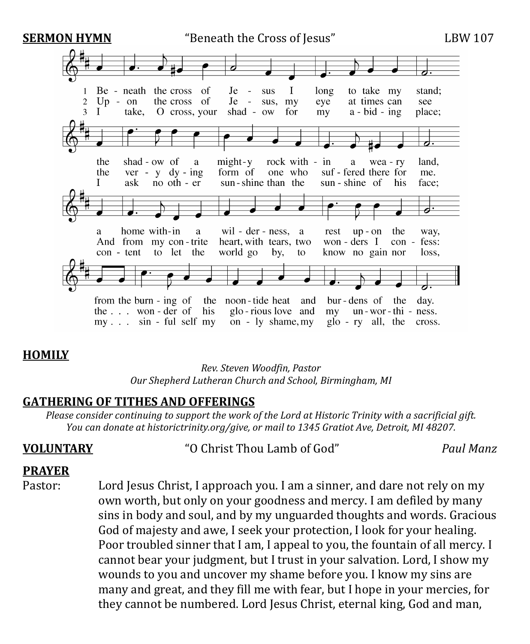

## **HOMILY**

*Rev. Steven Woodfin, Pastor Our Shepherd Lutheran Church and School, Birmingham, MI*

## **GATHERING OF TITHES AND OFFERINGS**

*Please consider continuing to support the work of the Lord at Historic Trinity with a sacrificial gift. You can donate at historictrinity.org/give, or mail to 1345 Gratiot Ave, Detroit, MI 48207.*

**VOLUNTARY** "O Christ Thou Lamb of God" *Paul Manz*

### **PRAYER**

Pastor: Lord Jesus Christ, I approach you. I am a sinner, and dare not rely on my own worth, but only on your goodness and mercy. I am defiled by many sins in body and soul, and by my unguarded thoughts and words. Gracious God of majesty and awe, I seek your protection, I look for your healing. Poor troubled sinner that I am, I appeal to you, the fountain of all mercy. I cannot bear your judgment, but I trust in your salvation. Lord, I show my wounds to you and uncover my shame before you. I know my sins are many and great, and they fill me with fear, but I hope in your mercies, for they cannot be numbered. Lord Jesus Christ, eternal king, God and man,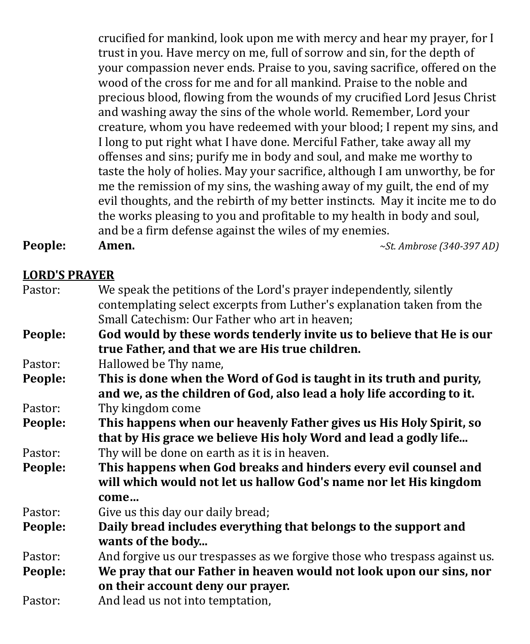crucified for mankind, look upon me with mercy and hear my prayer, for I trust in you. Have mercy on me, full of sorrow and sin, for the depth of your compassion never ends. Praise to you, saving sacrifice, offered on the wood of the cross for me and for all mankind. Praise to the noble and precious blood, flowing from the wounds of my crucified Lord Jesus Christ and washing away the sins of the whole world. Remember, Lord your creature, whom you have redeemed with your blood; I repent my sins, and I long to put right what I have done. Merciful Father, take away all my offenses and sins; purify me in body and soul, and make me worthy to taste the holy of holies. May your sacrifice, although I am unworthy, be for me the remission of my sins, the washing away of my guilt, the end of my evil thoughts, and the rebirth of my better instincts. May it incite me to do the works pleasing to you and profitable to my health in body and soul, and be a firm defense against the wiles of my enemies.<br>Amen.  $\sim$ Si

**People: Amen.** *~St. Ambrose (340-397 AD)*

**LORD'S PRAYER**

| Pastor: | We speak the petitions of the Lord's prayer independently, silently<br>contemplating select excerpts from Luther's explanation taken from the |
|---------|-----------------------------------------------------------------------------------------------------------------------------------------------|
|         | Small Catechism: Our Father who art in heaven;                                                                                                |
| People: | God would by these words tenderly invite us to believe that He is our                                                                         |
|         | true Father, and that we are His true children.                                                                                               |
| Pastor: | Hallowed be Thy name,                                                                                                                         |
| People: | This is done when the Word of God is taught in its truth and purity,                                                                          |
|         | and we, as the children of God, also lead a holy life according to it.                                                                        |
| Pastor: | Thy kingdom come                                                                                                                              |
| People: | This happens when our heavenly Father gives us His Holy Spirit, so<br>that by His grace we believe His holy Word and lead a godly life        |
| Pastor: | Thy will be done on earth as it is in heaven.                                                                                                 |
| People: | This happens when God breaks and hinders every evil counsel and                                                                               |
|         | will which would not let us hallow God's name nor let His kingdom                                                                             |
|         | come                                                                                                                                          |
| Pastor: | Give us this day our daily bread;                                                                                                             |
| People: | Daily bread includes everything that belongs to the support and                                                                               |
|         | wants of the body                                                                                                                             |
| Pastor: | And forgive us our trespasses as we forgive those who trespass against us.                                                                    |
| People: | We pray that our Father in heaven would not look upon our sins, nor                                                                           |
|         | on their account deny our prayer.                                                                                                             |
| Pastor: | And lead us not into temptation,                                                                                                              |
|         |                                                                                                                                               |